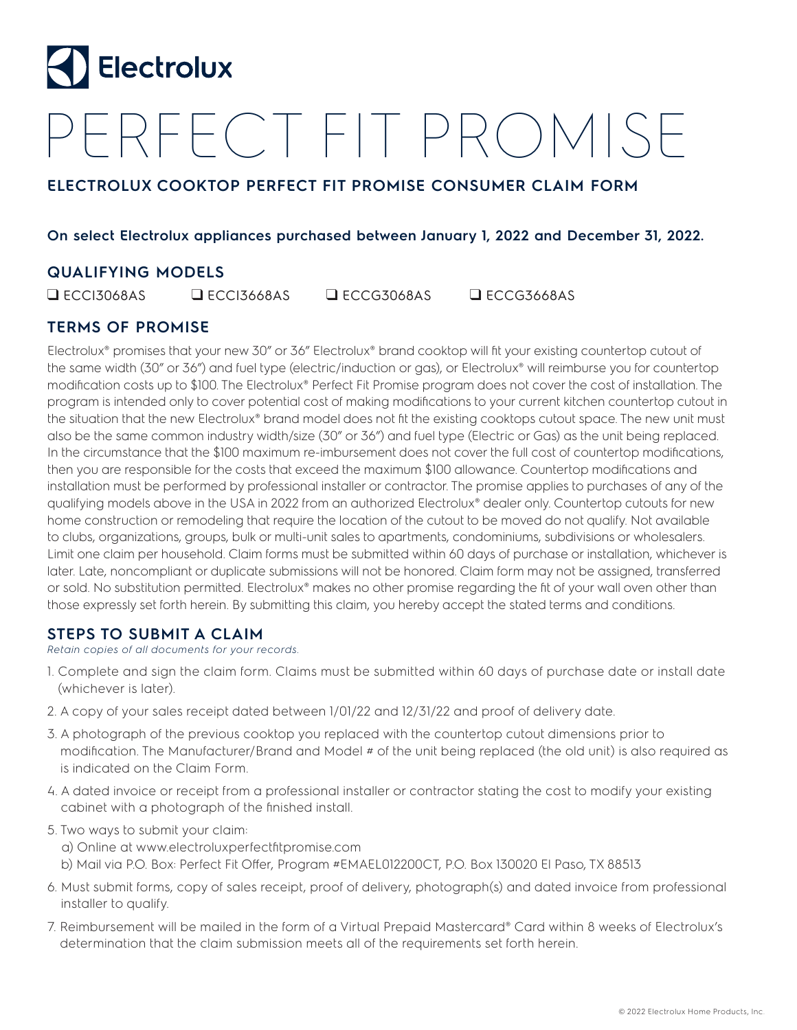

# PERFECT FIT PROMISE

## **ELECTROLUX COOKTOP PERFECT FIT PROMISE CONSUMER CLAIM FORM**

### **On select Electrolux appliances purchased between January 1, 2022 and December 31, 2022.**

## **QUALIFYING MODELS**

❑ ECCI3068AS ❑ ECCI3668AS ❑ ECCG3068AS ❑ ECCG3668AS

## **TERMS OF PROMISE**

Electrolux® promises that your new 30" or 36" Electrolux® brand cooktop will fit your existing countertop cutout of the same width (30" or 36") and fuel type (electric/induction or gas), or Electrolux® will reimburse you for countertop modification costs up to \$100. The Electrolux® Perfect Fit Promise program does not cover the cost of installation. The program is intended only to cover potential cost of making modifications to your current kitchen countertop cutout in the situation that the new Electrolux® brand model does not fit the existing cooktops cutout space. The new unit must also be the same common industry width/size (30" or 36") and fuel type (Electric or Gas) as the unit being replaced. In the circumstance that the \$100 maximum re-imbursement does not cover the full cost of countertop modifications, then you are responsible for the costs that exceed the maximum \$100 allowance. Countertop modifications and installation must be performed by professional installer or contractor. The promise applies to purchases of any of the qualifying models above in the USA in 2022 from an authorized Electrolux® dealer only. Countertop cutouts for new home construction or remodeling that require the location of the cutout to be moved do not qualify. Not available to clubs, organizations, groups, bulk or multi-unit sales to apartments, condominiums, subdivisions or wholesalers. Limit one claim per household. Claim forms must be submitted within 60 days of purchase or installation, whichever is later. Late, noncompliant or duplicate submissions will not be honored. Claim form may not be assigned, transferred or sold. No substitution permitted. Electrolux® makes no other promise regarding the fit of your wall oven other than those expressly set forth herein. By submitting this claim, you hereby accept the stated terms and conditions.

## **STEPS TO SUBMIT A CLAIM**

#### *Retain copies of all documents for your records.*

- 1. Complete and sign the claim form. Claims must be submitted within 60 days of purchase date or install date (whichever is later).
- 2. A copy of your sales receipt dated between 1/01/22 and 12/31/22 and proof of delivery date.
- 3. A photograph of the previous cooktop you replaced with the countertop cutout dimensions prior to modification. The Manufacturer/Brand and Model # of the unit being replaced (the old unit) is also required as is indicated on the Claim Form.
- 4. A dated invoice or receipt from a professional installer or contractor stating the cost to modify your existing cabinet with a photograph of the finished install.

#### 5. Two ways to submit your claim:

- a) Online at www.electroluxperfectfitpromise.com b) Mail via P.O. Box: Perfect Fit Offer, Program #EMAEL012200CT, P.O. Box 130020 El Paso, TX 88513
- 6. Must submit forms, copy of sales receipt, proof of delivery, photograph(s) and dated invoice from professional installer to qualify.
- 7. Reimbursement will be mailed in the form of a Virtual Prepaid Mastercard® Card within 8 weeks of Electrolux's determination that the claim submission meets all of the requirements set forth herein.